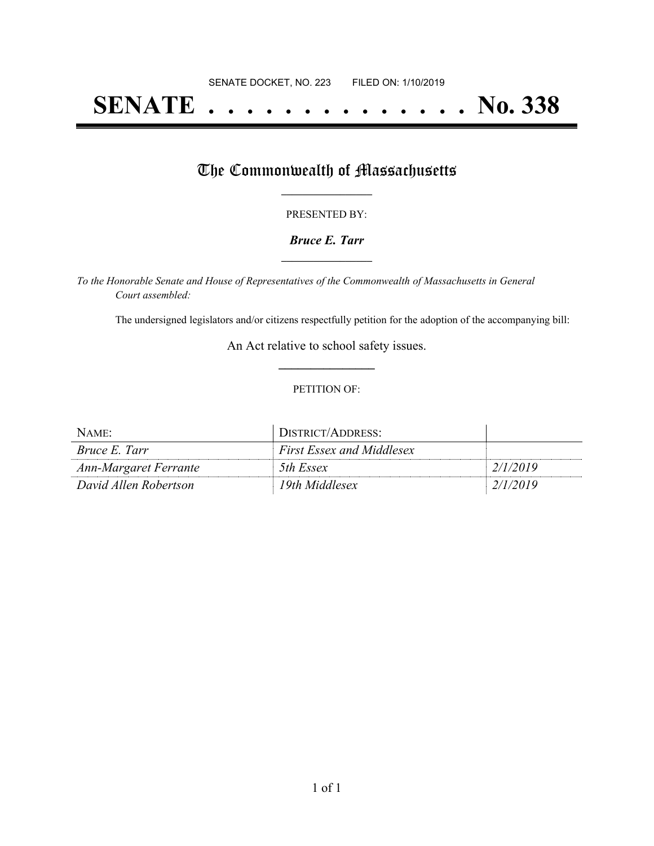## **SENATE . . . . . . . . . . . . . . No. 338**

## The Commonwealth of Massachusetts

#### PRESENTED BY:

#### *Bruce E. Tarr* **\_\_\_\_\_\_\_\_\_\_\_\_\_\_\_\_\_**

*To the Honorable Senate and House of Representatives of the Commonwealth of Massachusetts in General Court assembled:*

The undersigned legislators and/or citizens respectfully petition for the adoption of the accompanying bill:

An Act relative to school safety issues. **\_\_\_\_\_\_\_\_\_\_\_\_\_\_\_**

#### PETITION OF:

| NAME:                 | DISTRICT/ADDRESS:                |          |
|-----------------------|----------------------------------|----------|
| <i>Bruce E. Tarr</i>  | <b>First Essex and Middlesex</b> |          |
| Ann-Margaret Ferrante | 5th Essex                        | 2/1/2019 |
| David Allen Robertson | 19th Middlesex                   | 2/1/2019 |